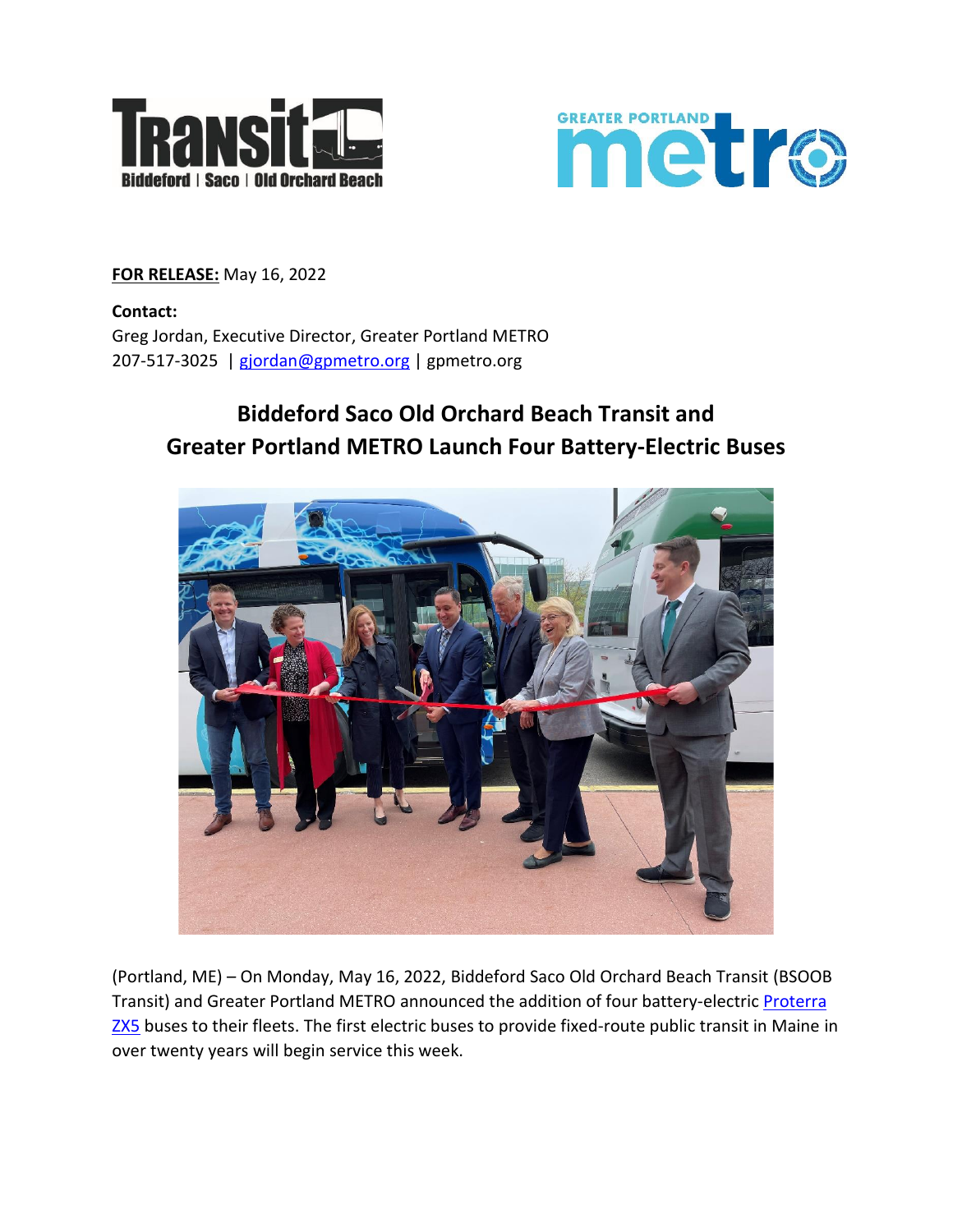



**FOR RELEASE:** May 16, 2022

**Contact:** Greg Jordan, Executive Director, Greater Portland METRO 207-517-3025 | [gjordan@gpmetro.org](mailto:gjordan@gpmetro.org) | gpmetro.org

## **Biddeford Saco Old Orchard Beach Transit and Greater Portland METRO Launch Four Battery-Electric Buses**



(Portland, ME) – On Monday, May 16, 2022, Biddeford Saco Old Orchard Beach Transit (BSOOB Transit) and Greater Portland METRO announced the addition of four battery-electric [Proterra](https://www.proterra.com/products/transit-buses/)  [ZX5](https://www.proterra.com/products/transit-buses/) buses to their fleets. The first electric buses to provide fixed-route public transit in Maine in over twenty years will begin service this week.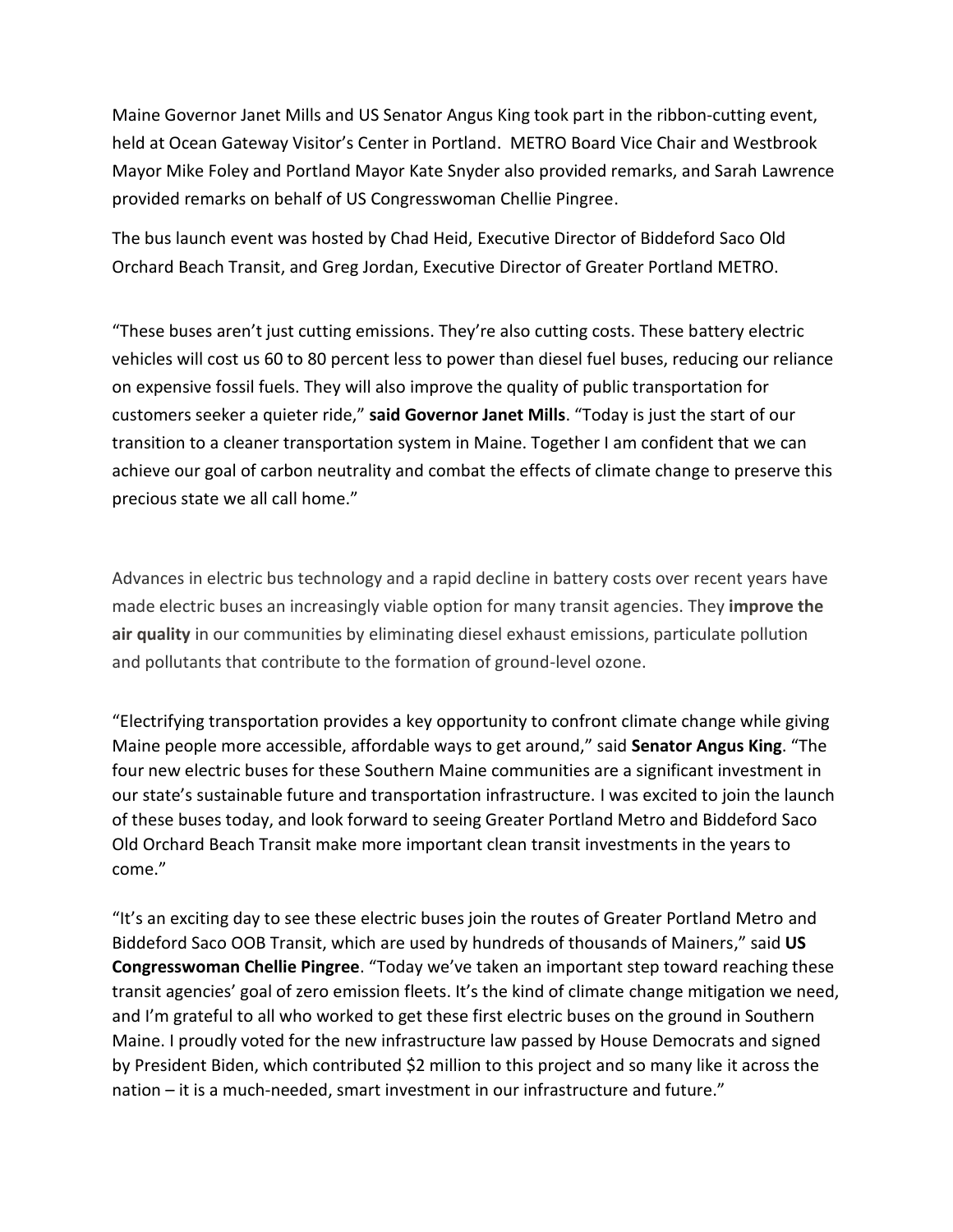Maine Governor Janet Mills and US Senator Angus King took part in the ribbon-cutting event, held at Ocean Gateway Visitor's Center in Portland. METRO Board Vice Chair and Westbrook Mayor Mike Foley and Portland Mayor Kate Snyder also provided remarks, and Sarah Lawrence provided remarks on behalf of US Congresswoman Chellie Pingree.

The bus launch event was hosted by Chad Heid, Executive Director of Biddeford Saco Old Orchard Beach Transit, and Greg Jordan, Executive Director of Greater Portland METRO.

"These buses aren't just cutting emissions. They're also cutting costs. These battery electric vehicles will cost us 60 to 80 percent less to power than diesel fuel buses, reducing our reliance on expensive fossil fuels. They will also improve the quality of public transportation for customers seeker a quieter ride," **said Governor Janet Mills**. "Today is just the start of our transition to a cleaner transportation system in Maine. Together I am confident that we can achieve our goal of carbon neutrality and combat the effects of climate change to preserve this precious state we all call home."

Advances in electric bus technology and a rapid decline in battery costs over recent years have made electric buses an increasingly viable option for many transit agencies. They **improve the air quality** in our communities by eliminating diesel exhaust emissions, particulate pollution and pollutants that contribute to the formation of ground-level ozone.

"Electrifying transportation provides a key opportunity to confront climate change while giving Maine people more accessible, affordable ways to get around," said **Senator Angus King**. "The four new electric buses for these Southern Maine communities are a significant investment in our state's sustainable future and transportation infrastructure. I was excited to join the launch of these buses today, and look forward to seeing Greater Portland Metro and Biddeford Saco Old Orchard Beach Transit make more important clean transit investments in the years to come."

"It's an exciting day to see these electric buses join the routes of Greater Portland Metro and Biddeford Saco OOB Transit, which are used by hundreds of thousands of Mainers," said **US Congresswoman Chellie Pingree**. "Today we've taken an important step toward reaching these transit agencies' goal of zero emission fleets. It's the kind of climate change mitigation we need, and I'm grateful to all who worked to get these first electric buses on the ground in Southern Maine. I proudly voted for the new infrastructure law passed by House Democrats and signed by President Biden, which contributed \$2 million to this project and so many like it across the nation – it is a much-needed, smart investment in our infrastructure and future."